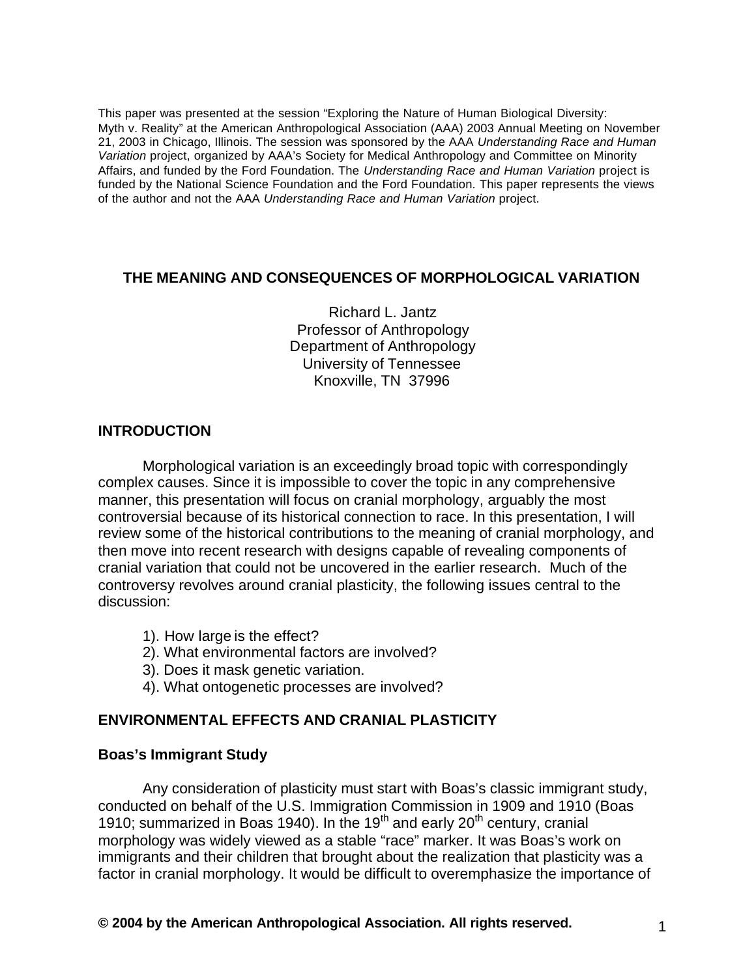This paper was presented at the session "Exploring the Nature of Human Biological Diversity: Myth v. Reality" at the American Anthropological Association (AAA) 2003 Annual Meeting on November 21, 2003 in Chicago, Illinois. The session was sponsored by the AAA *Understanding Race and Human Variation* project, organized by AAA's Society for Medical Anthropology and Committee on Minority Affairs, and funded by the Ford Foundation. The *Understanding Race and Human Variation* project is funded by the National Science Foundation and the Ford Foundation. This paper represents the views of the author and not the AAA *Understanding Race and Human Variation* project.

# **THE MEANING AND CONSEQUENCES OF MORPHOLOGICAL VARIATION**

Richard L. Jantz Professor of Anthropology Department of Anthropology University of Tennessee Knoxville, TN 37996

## **INTRODUCTION**

Morphological variation is an exceedingly broad topic with correspondingly complex causes. Since it is impossible to cover the topic in any comprehensive manner, this presentation will focus on cranial morphology, arguably the most controversial because of its historical connection to race. In this presentation, I will review some of the historical contributions to the meaning of cranial morphology, and then move into recent research with designs capable of revealing components of cranial variation that could not be uncovered in the earlier research. Much of the controversy revolves around cranial plasticity, the following issues central to the discussion:

- 1). How large is the effect?
- 2). What environmental factors are involved?
- 3). Does it mask genetic variation.
- 4). What ontogenetic processes are involved?

## **ENVIRONMENTAL EFFECTS AND CRANIAL PLASTICITY**

#### **Boas's Immigrant Study**

Any consideration of plasticity must start with Boas's classic immigrant study, conducted on behalf of the U.S. Immigration Commission in 1909 and 1910 (Boas 1910; summarized in Boas 1940). In the 19<sup>th</sup> and early 20<sup>th</sup> century, cranial morphology was widely viewed as a stable "race" marker. It was Boas's work on immigrants and their children that brought about the realization that plasticity was a factor in cranial morphology. It would be difficult to overemphasize the importance of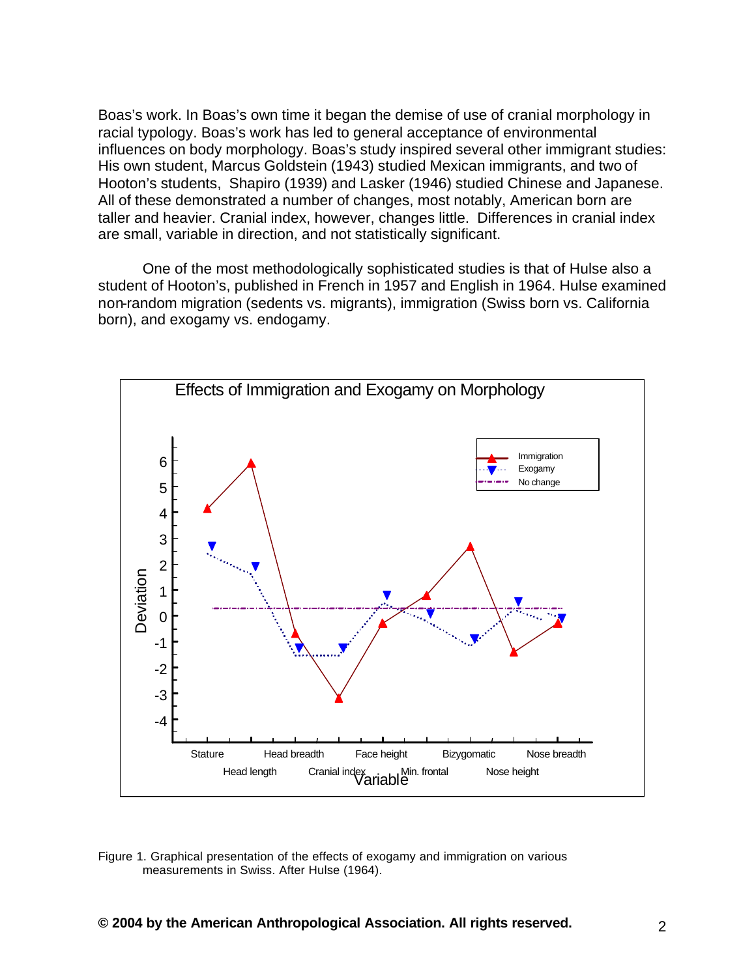Boas's work. In Boas's own time it began the demise of use of cranial morphology in racial typology. Boas's work has led to general acceptance of environmental influences on body morphology. Boas's study inspired several other immigrant studies: His own student, Marcus Goldstein (1943) studied Mexican immigrants, and two of Hooton's students, Shapiro (1939) and Lasker (1946) studied Chinese and Japanese. All of these demonstrated a number of changes, most notably, American born are taller and heavier. Cranial index, however, changes little. Differences in cranial index are small, variable in direction, and not statistically significant.

One of the most methodologically sophisticated studies is that of Hulse also a student of Hooton's, published in French in 1957 and English in 1964. Hulse examined non-random migration (sedents vs. migrants), immigration (Swiss born vs. California born), and exogamy vs. endogamy.



Figure 1. Graphical presentation of the effects of exogamy and immigration on various measurements in Swiss. After Hulse (1964).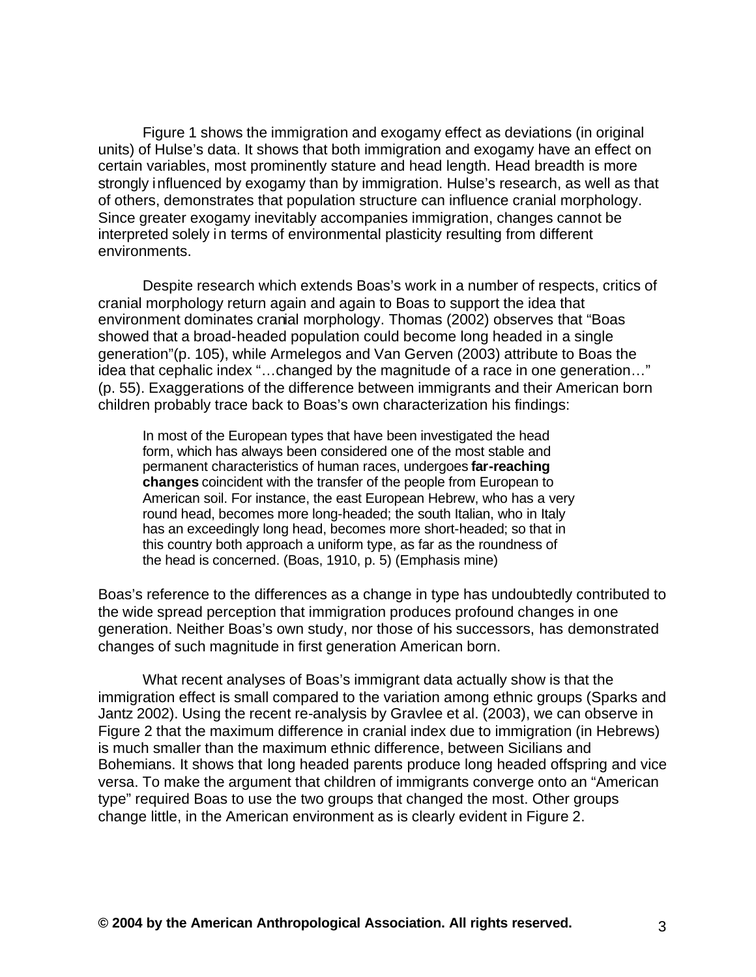Figure 1 shows the immigration and exogamy effect as deviations (in original units) of Hulse's data. It shows that both immigration and exogamy have an effect on certain variables, most prominently stature and head length. Head breadth is more strongly influenced by exogamy than by immigration. Hulse's research, as well as that of others, demonstrates that population structure can influence cranial morphology. Since greater exogamy inevitably accompanies immigration, changes cannot be interpreted solely in terms of environmental plasticity resulting from different environments.

Despite research which extends Boas's work in a number of respects, critics of cranial morphology return again and again to Boas to support the idea that environment dominates cranial morphology. Thomas (2002) observes that "Boas showed that a broad-headed population could become long headed in a single generation"(p. 105), while Armelegos and Van Gerven (2003) attribute to Boas the idea that cephalic index "…changed by the magnitude of a race in one generation…" (p. 55). Exaggerations of the difference between immigrants and their American born children probably trace back to Boas's own characterization his findings:

In most of the European types that have been investigated the head form, which has always been considered one of the most stable and permanent characteristics of human races, undergoes **far-reaching changes** coincident with the transfer of the people from European to American soil. For instance, the east European Hebrew, who has a very round head, becomes more long-headed; the south Italian, who in Italy has an exceedingly long head, becomes more short-headed; so that in this country both approach a uniform type, as far as the roundness of the head is concerned. (Boas, 1910, p. 5) (Emphasis mine)

Boas's reference to the differences as a change in type has undoubtedly contributed to the wide spread perception that immigration produces profound changes in one generation. Neither Boas's own study, nor those of his successors, has demonstrated changes of such magnitude in first generation American born.

What recent analyses of Boas's immigrant data actually show is that the immigration effect is small compared to the variation among ethnic groups (Sparks and Jantz 2002). Using the recent re-analysis by Gravlee et al. (2003), we can observe in Figure 2 that the maximum difference in cranial index due to immigration (in Hebrews) is much smaller than the maximum ethnic difference, between Sicilians and Bohemians. It shows that long headed parents produce long headed offspring and vice versa. To make the argument that children of immigrants converge onto an "American type" required Boas to use the two groups that changed the most. Other groups change little, in the American environment as is clearly evident in Figure 2.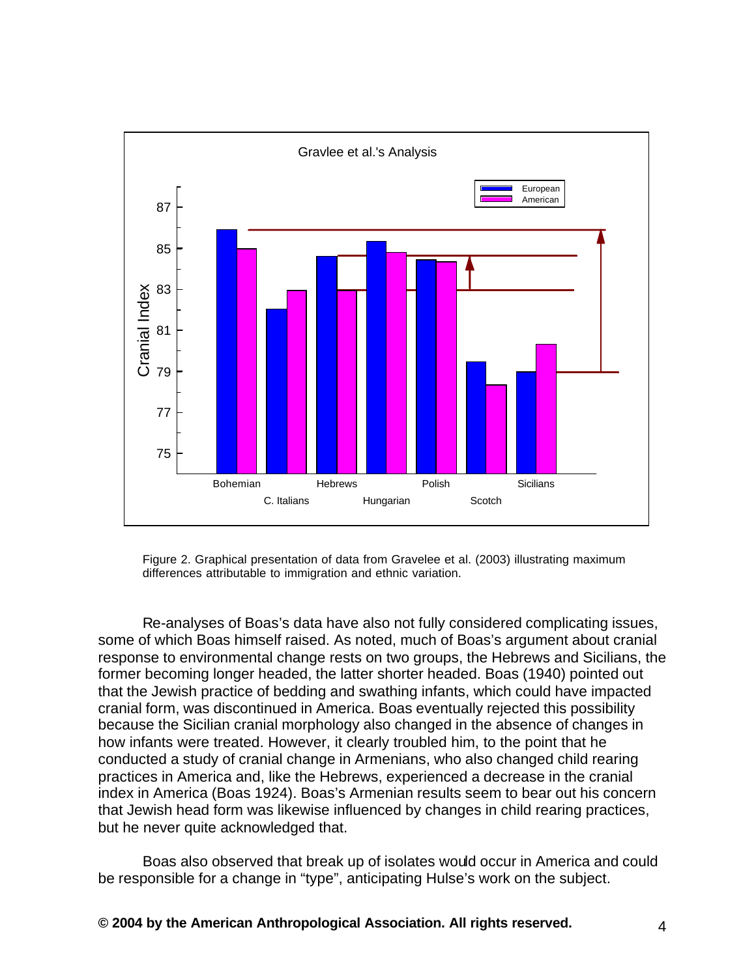

Figure 2. Graphical presentation of data from Gravelee et al. (2003) illustrating maximum differences attributable to immigration and ethnic variation.

Re-analyses of Boas's data have also not fully considered complicating issues, some of which Boas himself raised. As noted, much of Boas's argument about cranial response to environmental change rests on two groups, the Hebrews and Sicilians, the former becoming longer headed, the latter shorter headed. Boas (1940) pointed out that the Jewish practice of bedding and swathing infants, which could have impacted cranial form, was discontinued in America. Boas eventually rejected this possibility because the Sicilian cranial morphology also changed in the absence of changes in how infants were treated. However, it clearly troubled him, to the point that he conducted a study of cranial change in Armenians, who also changed child rearing practices in America and, like the Hebrews, experienced a decrease in the cranial index in America (Boas 1924). Boas's Armenian results seem to bear out his concern that Jewish head form was likewise influenced by changes in child rearing practices, but he never quite acknowledged that.

Boas also observed that break up of isolates would occur in America and could be responsible for a change in "type", anticipating Hulse's work on the subject.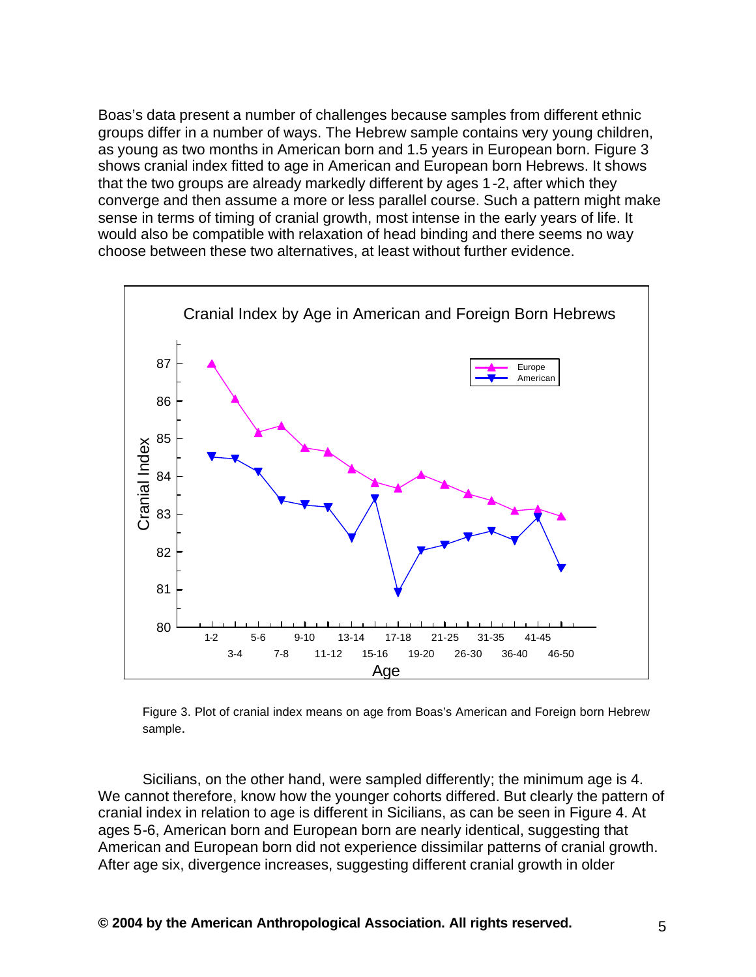Boas's data present a number of challenges because samples from different ethnic groups differ in a number of ways. The Hebrew sample contains very young children, as young as two months in American born and 1.5 years in European born. Figure 3 shows cranial index fitted to age in American and European born Hebrews. It shows that the two groups are already markedly different by ages 1-2, after which they converge and then assume a more or less parallel course. Such a pattern might make sense in terms of timing of cranial growth, most intense in the early years of life. It would also be compatible with relaxation of head binding and there seems no way choose between these two alternatives, at least without further evidence.



Figure 3. Plot of cranial index means on age from Boas's American and Foreign born Hebrew sample.

Sicilians, on the other hand, were sampled differently; the minimum age is 4. We cannot therefore, know how the younger cohorts differed. But clearly the pattern of cranial index in relation to age is different in Sicilians, as can be seen in Figure 4. At ages 5-6, American born and European born are nearly identical, suggesting that American and European born did not experience dissimilar patterns of cranial growth. After age six, divergence increases, suggesting different cranial growth in older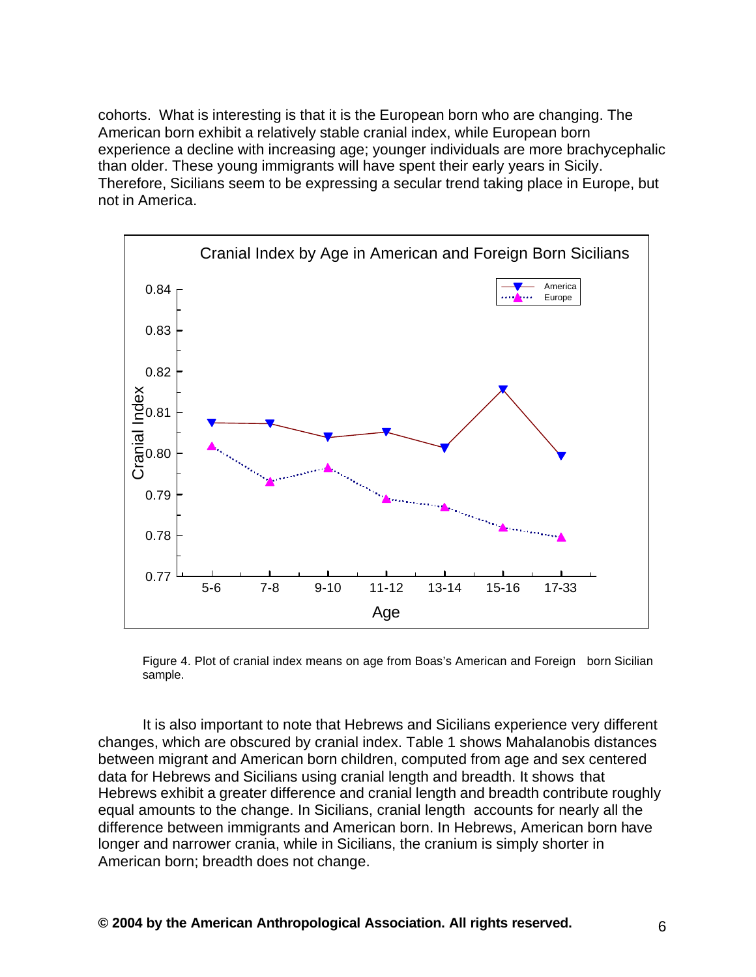cohorts. What is interesting is that it is the European born who are changing. The American born exhibit a relatively stable cranial index, while European born experience a decline with increasing age; younger individuals are more brachycephalic than older. These young immigrants will have spent their early years in Sicily. Therefore, Sicilians seem to be expressing a secular trend taking place in Europe, but not in America.



Figure 4. Plot of cranial index means on age from Boas's American and Foreign born Sicilian sample.

It is also important to note that Hebrews and Sicilians experience very different changes, which are obscured by cranial index. Table 1 shows Mahalanobis distances between migrant and American born children, computed from age and sex centered data for Hebrews and Sicilians using cranial length and breadth. It shows that Hebrews exhibit a greater difference and cranial length and breadth contribute roughly equal amounts to the change. In Sicilians, cranial length accounts for nearly all the difference between immigrants and American born. In Hebrews, American born have longer and narrower crania, while in Sicilians, the cranium is simply shorter in American born; breadth does not change.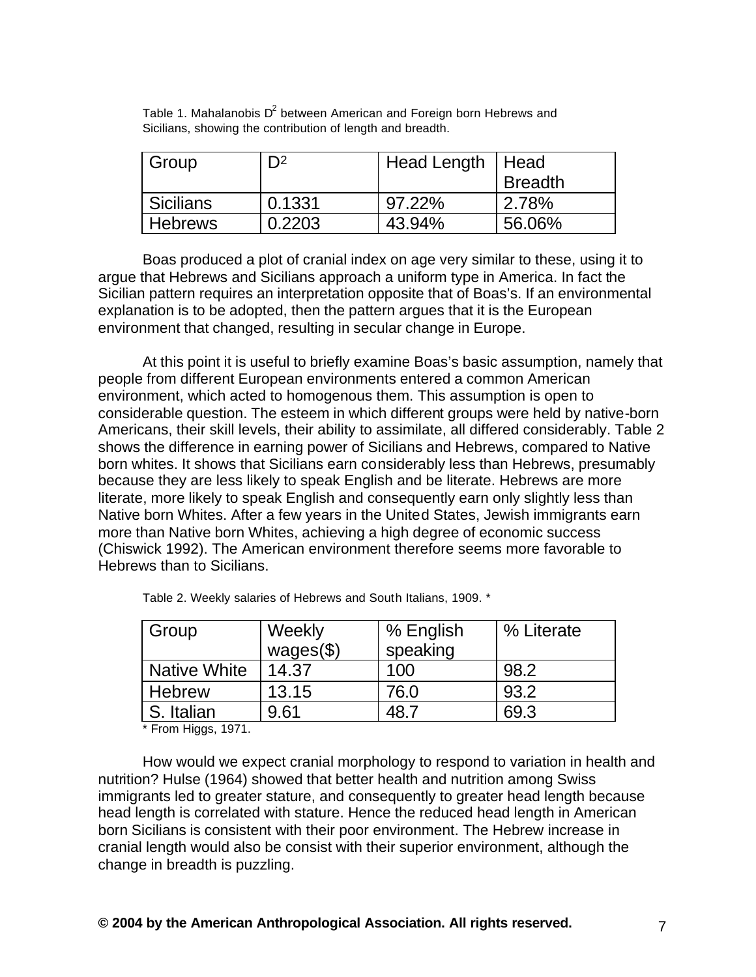| Group            | D2     | Head Length   Head |                |  |
|------------------|--------|--------------------|----------------|--|
|                  |        |                    | <b>Breadth</b> |  |
| <b>Sicilians</b> | 0.1331 | 97.22%             | 2.78%          |  |
| <b>Hebrews</b>   | 0.2203 | 43.94%             | 56.06%         |  |

Table 1. Mahalanobis D<sup>2</sup> between American and Foreign born Hebrews and Sicilians, showing the contribution of length and breadth.

Boas produced a plot of cranial index on age very similar to these, using it to argue that Hebrews and Sicilians approach a uniform type in America. In fact the Sicilian pattern requires an interpretation opposite that of Boas's. If an environmental explanation is to be adopted, then the pattern argues that it is the European environment that changed, resulting in secular change in Europe.

At this point it is useful to briefly examine Boas's basic assumption, namely that people from different European environments entered a common American environment, which acted to homogenous them. This assumption is open to considerable question. The esteem in which different groups were held by native-born Americans, their skill levels, their ability to assimilate, all differed considerably. Table 2 shows the difference in earning power of Sicilians and Hebrews, compared to Native born whites. It shows that Sicilians earn considerably less than Hebrews, presumably because they are less likely to speak English and be literate. Hebrews are more literate, more likely to speak English and consequently earn only slightly less than Native born Whites. After a few years in the United States, Jewish immigrants earn more than Native born Whites, achieving a high degree of economic success (Chiswick 1992). The American environment therefore seems more favorable to Hebrews than to Sicilians.

| Group               | Weekly<br>$wages(\text{$})$ | % English<br>speaking | % Literate |
|---------------------|-----------------------------|-----------------------|------------|
| <b>Native White</b> | 14.37                       | 100                   | 98.2       |
| Hebrew              | 13.15                       | 76.0                  | 93.2       |
| S. Italian          | 9.61                        | 48.7                  | 69.3       |

Table 2. Weekly salaries of Hebrews and South Italians, 1909. \*

\* From Higgs, 1971.

How would we expect cranial morphology to respond to variation in health and nutrition? Hulse (1964) showed that better health and nutrition among Swiss immigrants led to greater stature, and consequently to greater head length because head length is correlated with stature. Hence the reduced head length in American born Sicilians is consistent with their poor environment. The Hebrew increase in cranial length would also be consist with their superior environment, although the change in breadth is puzzling.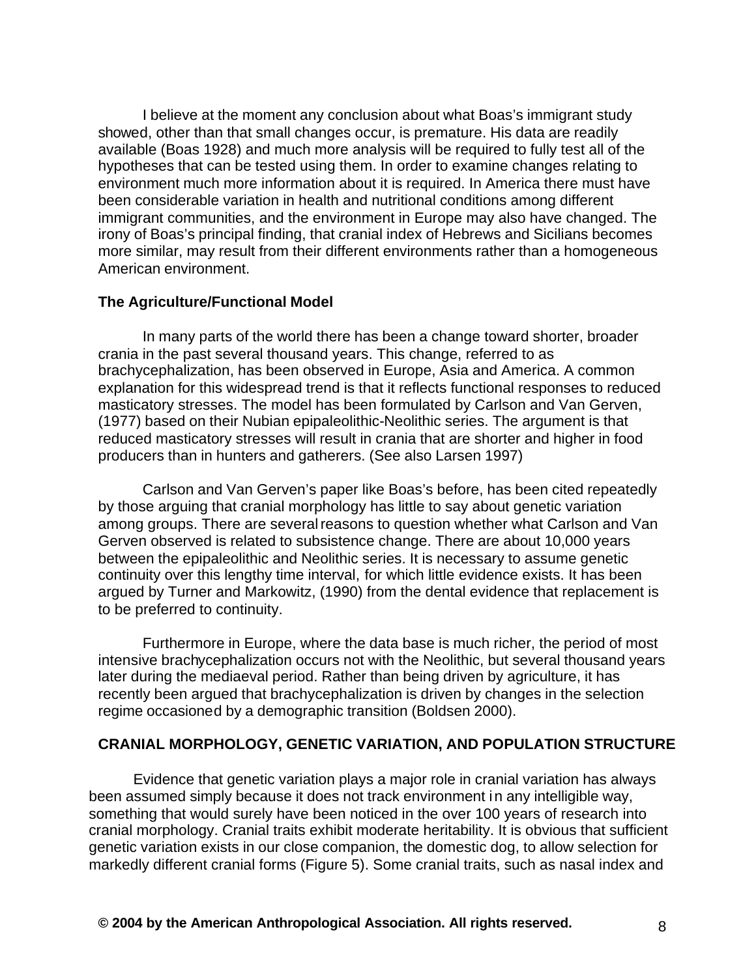I believe at the moment any conclusion about what Boas's immigrant study showed, other than that small changes occur, is premature. His data are readily available (Boas 1928) and much more analysis will be required to fully test all of the hypotheses that can be tested using them. In order to examine changes relating to environment much more information about it is required. In America there must have been considerable variation in health and nutritional conditions among different immigrant communities, and the environment in Europe may also have changed. The irony of Boas's principal finding, that cranial index of Hebrews and Sicilians becomes more similar, may result from their different environments rather than a homogeneous American environment.

## **The Agriculture/Functional Model**

In many parts of the world there has been a change toward shorter, broader crania in the past several thousand years. This change, referred to as brachycephalization, has been observed in Europe, Asia and America. A common explanation for this widespread trend is that it reflects functional responses to reduced masticatory stresses. The model has been formulated by Carlson and Van Gerven, (1977) based on their Nubian epipaleolithic-Neolithic series. The argument is that reduced masticatory stresses will result in crania that are shorter and higher in food producers than in hunters and gatherers. (See also Larsen 1997)

Carlson and Van Gerven's paper like Boas's before, has been cited repeatedly by those arguing that cranial morphology has little to say about genetic variation among groups. There are several reasons to question whether what Carlson and Van Gerven observed is related to subsistence change. There are about 10,000 years between the epipaleolithic and Neolithic series. It is necessary to assume genetic continuity over this lengthy time interval, for which little evidence exists. It has been argued by Turner and Markowitz, (1990) from the dental evidence that replacement is to be preferred to continuity.

Furthermore in Europe, where the data base is much richer, the period of most intensive brachycephalization occurs not with the Neolithic, but several thousand years later during the mediaeval period. Rather than being driven by agriculture, it has recently been argued that brachycephalization is driven by changes in the selection regime occasioned by a demographic transition (Boldsen 2000).

## **CRANIAL MORPHOLOGY, GENETIC VARIATION, AND POPULATION STRUCTURE**

Evidence that genetic variation plays a major role in cranial variation has always been assumed simply because it does not track environment in any intelligible way, something that would surely have been noticed in the over 100 years of research into cranial morphology. Cranial traits exhibit moderate heritability. It is obvious that sufficient genetic variation exists in our close companion, the domestic dog, to allow selection for markedly different cranial forms (Figure 5). Some cranial traits, such as nasal index and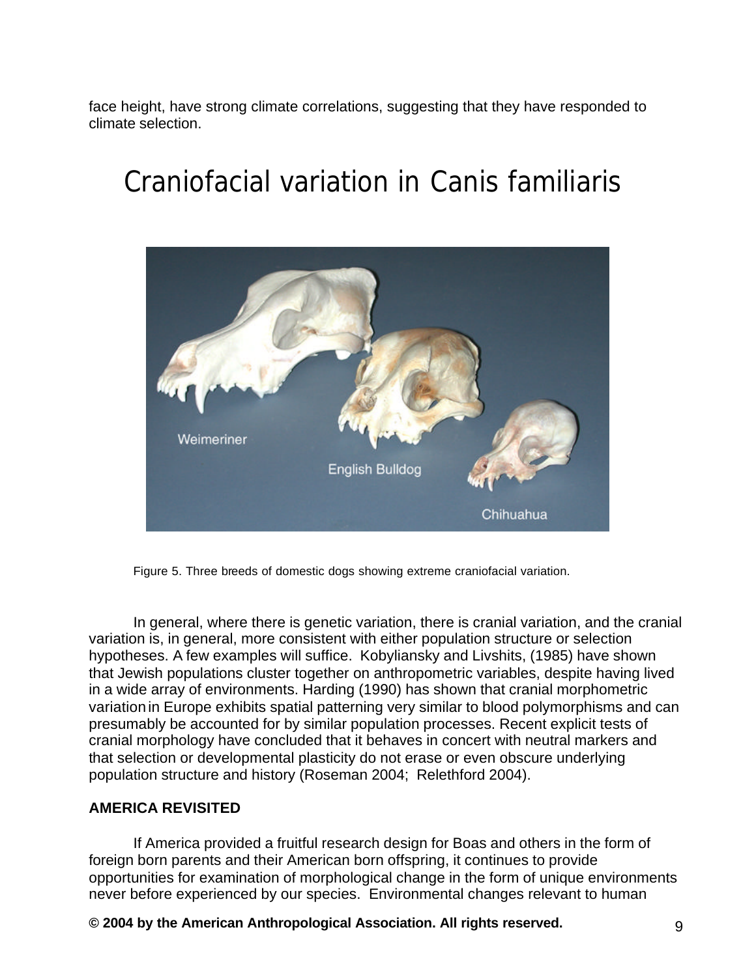face height, have strong climate correlations, suggesting that they have responded to climate selection.

# Craniofacial variation in *Canis familiaris*



Figure 5. Three breeds of domestic dogs showing extreme craniofacial variation.

In general, where there is genetic variation, there is cranial variation, and the cranial variation is, in general, more consistent with either population structure or selection hypotheses. A few examples will suffice. Kobyliansky and Livshits, (1985) have shown that Jewish populations cluster together on anthropometric variables, despite having lived in a wide array of environments. Harding (1990) has shown that cranial morphometric variation in Europe exhibits spatial patterning very similar to blood polymorphisms and can presumably be accounted for by similar population processes. Recent explicit tests of cranial morphology have concluded that it behaves in concert with neutral markers and that selection or developmental plasticity do not erase or even obscure underlying population structure and history (Roseman 2004; Relethford 2004).

# **AMERICA REVISITED**

If America provided a fruitful research design for Boas and others in the form of foreign born parents and their American born offspring, it continues to provide opportunities for examination of morphological change in the form of unique environments never before experienced by our species. Environmental changes relevant to human

## **© 2004 by the American Anthropological Association. All rights reserved.** 9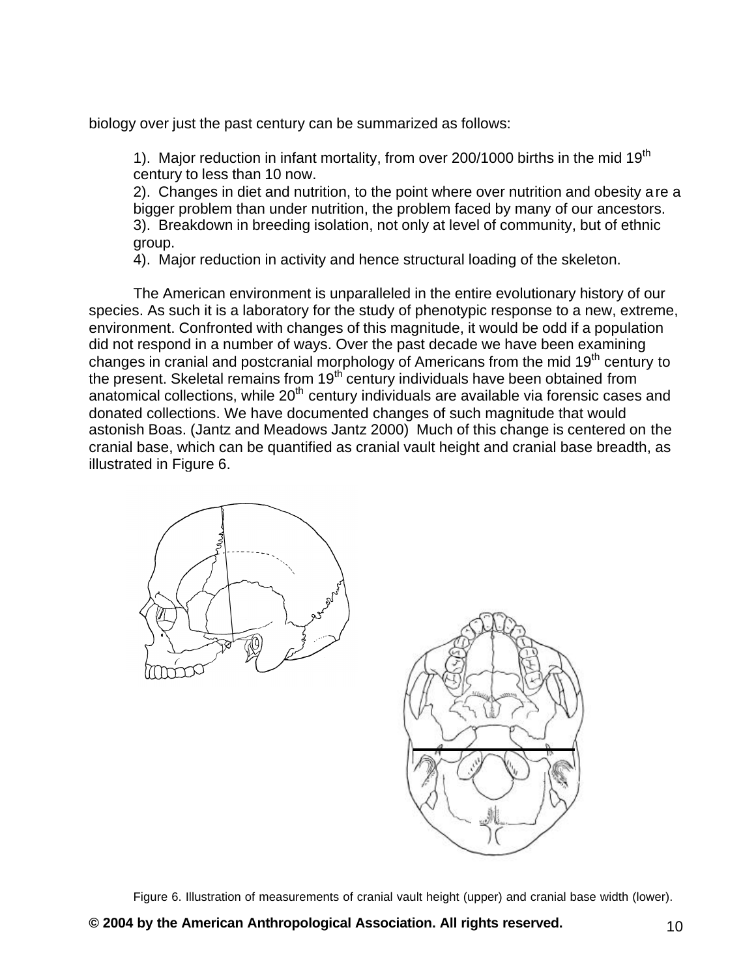biology over just the past century can be summarized as follows:

1). Major reduction in infant mortality, from over 200/1000 births in the mid  $19<sup>th</sup>$ century to less than 10 now.

2). Changes in diet and nutrition, to the point where over nutrition and obesity are a bigger problem than under nutrition, the problem faced by many of our ancestors. 3). Breakdown in breeding isolation, not only at level of community, but of ethnic group.

4). Major reduction in activity and hence structural loading of the skeleton.

The American environment is unparalleled in the entire evolutionary history of our species. As such it is a laboratory for the study of phenotypic response to a new, extreme, environment. Confronted with changes of this magnitude, it would be odd if a population did not respond in a number of ways. Over the past decade we have been examining changes in cranial and postcranial morphology of Americans from the mid 19<sup>th</sup> century to the present. Skeletal remains from  $19<sup>th</sup>$  century individuals have been obtained from anatomical collections, while  $20<sup>th</sup>$  century individuals are available via forensic cases and donated collections. We have documented changes of such magnitude that would astonish Boas. (Jantz and Meadows Jantz 2000) Much of this change is centered on the cranial base, which can be quantified as cranial vault height and cranial base breadth, as illustrated in Figure 6.





Figure 6. Illustration of measurements of cranial vault height (upper) and cranial base width (lower).

**© 2004 by the American Anthropological Association. All rights reserved.** 10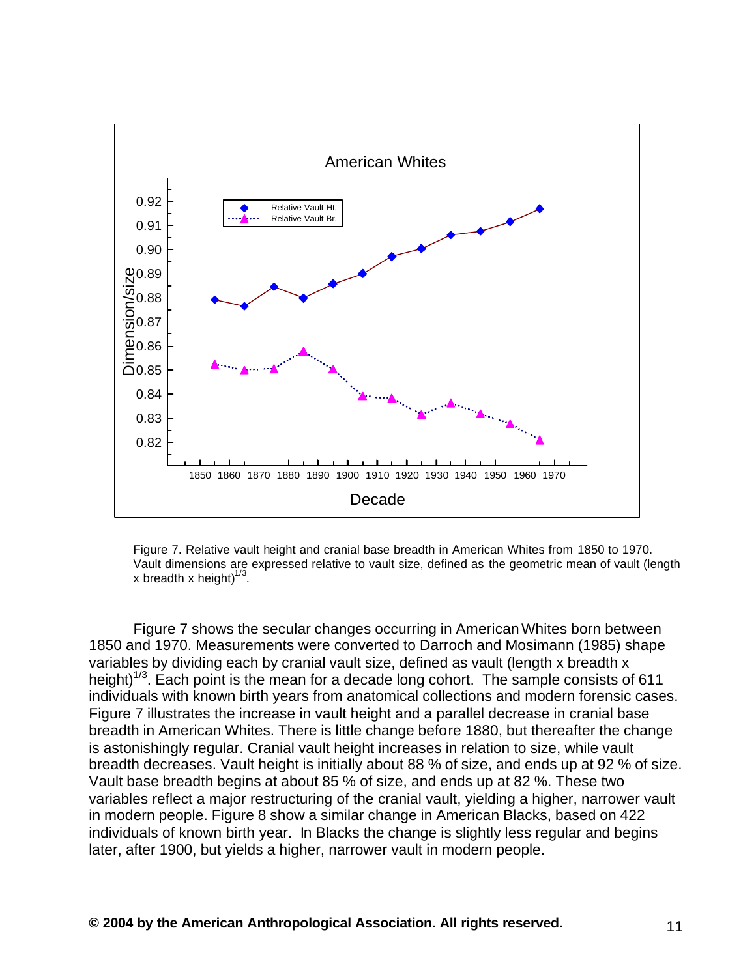

Figure 7. Relative vault height and cranial base breadth in American Whites from 1850 to 1970. Vault dimensions are expressed relative to vault size, defined as the geometric mean of vault (length x breadth x height) $^{1/3}$ .

Figure 7 shows the secular changes occurring in American Whites born between 1850 and 1970. Measurements were converted to Darroch and Mosimann (1985) shape variables by dividing each by cranial vault size, defined as vault (length x breadth x height)<sup>1/3</sup>. Each point is the mean for a decade long cohort. The sample consists of 611 individuals with known birth years from anatomical collections and modern forensic cases. Figure 7 illustrates the increase in vault height and a parallel decrease in cranial base breadth in American Whites. There is little change before 1880, but thereafter the change is astonishingly regular. Cranial vault height increases in relation to size, while vault breadth decreases. Vault height is initially about 88 % of size, and ends up at 92 % of size. Vault base breadth begins at about 85 % of size, and ends up at 82 %. These two variables reflect a major restructuring of the cranial vault, yielding a higher, narrower vault in modern people. Figure 8 show a similar change in American Blacks, based on 422 individuals of known birth year. In Blacks the change is slightly less regular and begins later, after 1900, but yields a higher, narrower vault in modern people.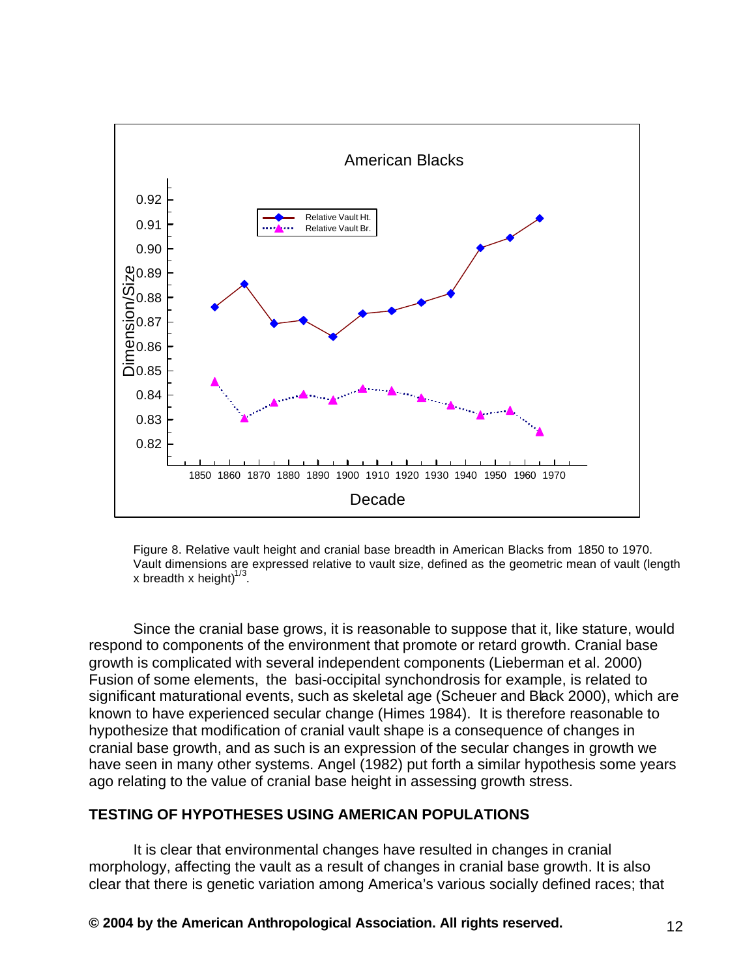

Figure 8. Relative vault height and cranial base breadth in American Blacks from 1850 to 1970. Vault dimensions are expressed relative to vault size, defined as the geometric mean of vault (length x breadth x height) $^{1/3}$ .

Since the cranial base grows, it is reasonable to suppose that it, like stature, would respond to components of the environment that promote or retard growth. Cranial base growth is complicated with several independent components (Lieberman et al. 2000) Fusion of some elements, the basi-occipital synchondrosis for example, is related to significant maturational events, such as skeletal age (Scheuer and Black 2000), which are known to have experienced secular change (Himes 1984). It is therefore reasonable to hypothesize that modification of cranial vault shape is a consequence of changes in cranial base growth, and as such is an expression of the secular changes in growth we have seen in many other systems. Angel (1982) put forth a similar hypothesis some years ago relating to the value of cranial base height in assessing growth stress.

# **TESTING OF HYPOTHESES USING AMERICAN POPULATIONS**

It is clear that environmental changes have resulted in changes in cranial morphology, affecting the vault as a result of changes in cranial base growth. It is also clear that there is genetic variation among America's various socially defined races; that

#### **© 2004 by the American Anthropological Association. All rights reserved.** 12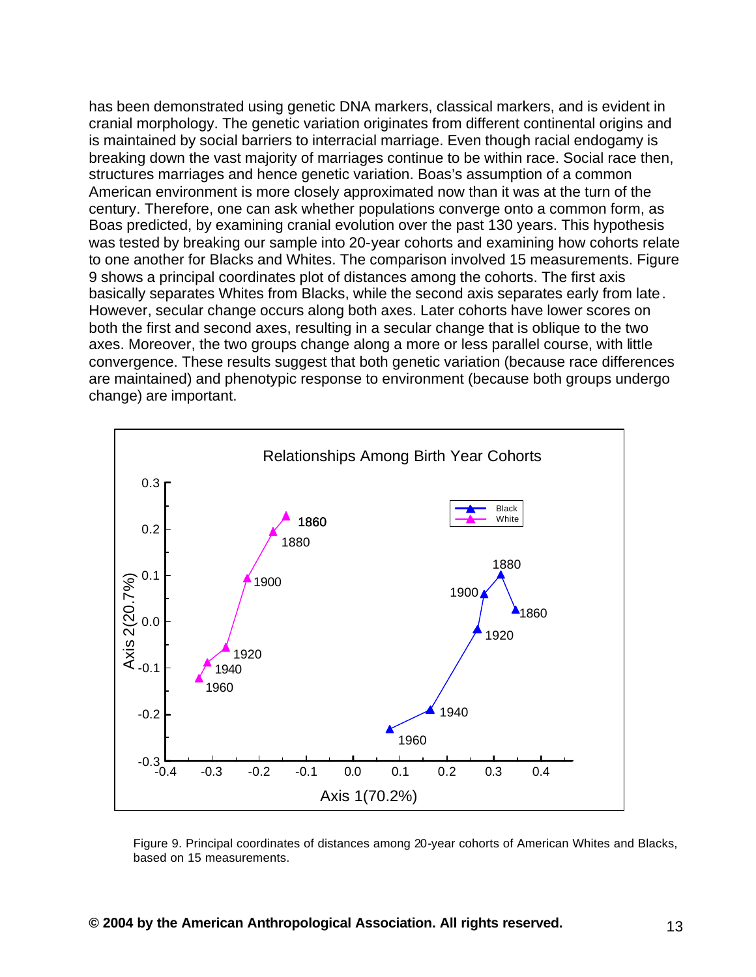has been demonstrated using genetic DNA markers, classical markers, and is evident in cranial morphology. The genetic variation originates from different continental origins and is maintained by social barriers to interracial marriage. Even though racial endogamy is breaking down the vast majority of marriages continue to be within race. Social race then, structures marriages and hence genetic variation. Boas's assumption of a common American environment is more closely approximated now than it was at the turn of the century. Therefore, one can ask whether populations converge onto a common form, as Boas predicted, by examining cranial evolution over the past 130 years. This hypothesis was tested by breaking our sample into 20-year cohorts and examining how cohorts relate to one another for Blacks and Whites. The comparison involved 15 measurements. Figure 9 shows a principal coordinates plot of distances among the cohorts. The first axis basically separates Whites from Blacks, while the second axis separates early from late. However, secular change occurs along both axes. Later cohorts have lower scores on both the first and second axes, resulting in a secular change that is oblique to the two axes. Moreover, the two groups change along a more or less parallel course, with little convergence. These results suggest that both genetic variation (because race differences are maintained) and phenotypic response to environment (because both groups undergo change) are important.



Figure 9. Principal coordinates of distances among 20-year cohorts of American Whites and Blacks, based on 15 measurements.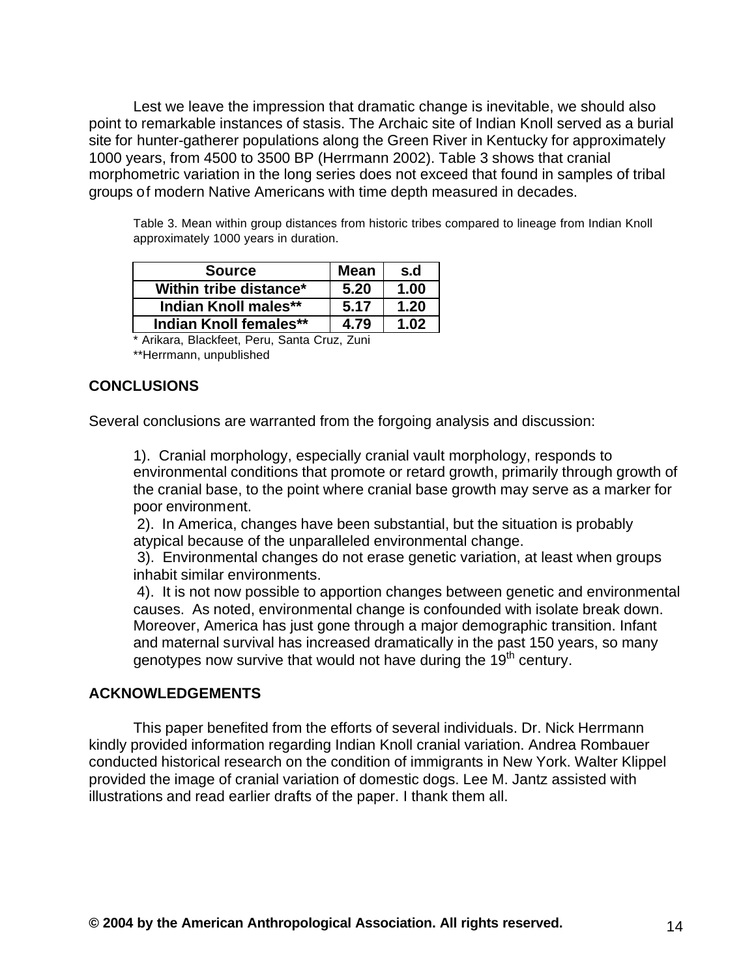Lest we leave the impression that dramatic change is inevitable, we should also point to remarkable instances of stasis. The Archaic site of Indian Knoll served as a burial site for hunter-gatherer populations along the Green River in Kentucky for approximately 1000 years, from 4500 to 3500 BP (Herrmann 2002). Table 3 shows that cranial morphometric variation in the long series does not exceed that found in samples of tribal groups of modern Native Americans with time depth measured in decades.

Table 3. Mean within group distances from historic tribes compared to lineage from Indian Knoll approximately 1000 years in duration.

| <b>Source</b>          | <b>Mean</b> | s.d  |
|------------------------|-------------|------|
| Within tribe distance* | 5.20        | 1.00 |
| Indian Knoll males**   | 5.17        | 1.20 |
| Indian Knoll females** | 4.79        | 1.02 |

\* Arikara, Blackfeet, Peru, Santa Cruz, Zuni \*\*Herrmann, unpublished

# **CONCLUSIONS**

Several conclusions are warranted from the forgoing analysis and discussion:

1). Cranial morphology, especially cranial vault morphology, responds to environmental conditions that promote or retard growth, primarily through growth of the cranial base, to the point where cranial base growth may serve as a marker for poor environment.

 2). In America, changes have been substantial, but the situation is probably atypical because of the unparalleled environmental change.

 3). Environmental changes do not erase genetic variation, at least when groups inhabit similar environments.

4). It is not now possible to apportion changes between genetic and environmental causes. As noted, environmental change is confounded with isolate break down. Moreover, America has just gone through a major demographic transition. Infant and maternal survival has increased dramatically in the past 150 years, so many genotypes now survive that would not have during the 19<sup>th</sup> century.

## **ACKNOWLEDGEMENTS**

This paper benefited from the efforts of several individuals. Dr. Nick Herrmann kindly provided information regarding Indian Knoll cranial variation. Andrea Rombauer conducted historical research on the condition of immigrants in New York. Walter Klippel provided the image of cranial variation of domestic dogs. Lee M. Jantz assisted with illustrations and read earlier drafts of the paper. I thank them all.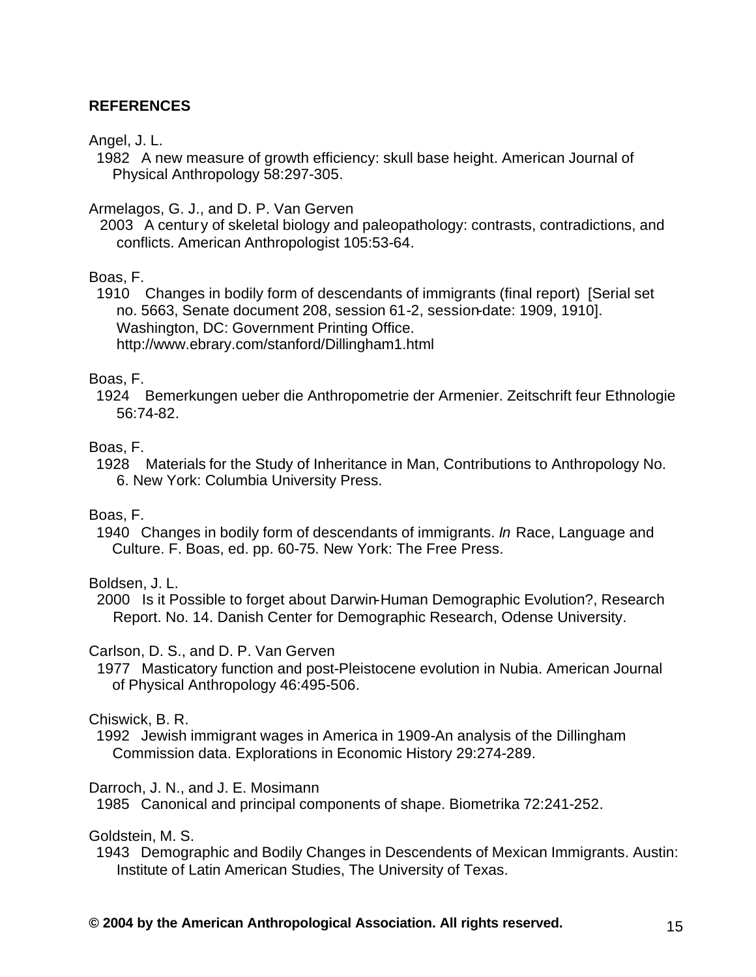# **REFERENCES**

Angel, J. L.

 1982 A new measure of growth efficiency: skull base height. American Journal of Physical Anthropology 58:297-305.

Armelagos, G. J., and D. P. Van Gerven

2003 A century of skeletal biology and paleopathology: contrasts, contradictions, and conflicts. American Anthropologist 105:53-64.

Boas, F.

 1910 Changes in bodily form of descendants of immigrants (final report) [Serial set no. 5663, Senate document 208, session 61-2, session-date: 1909, 1910]. Washington, DC: Government Printing Office. http://www.ebrary.com/stanford/Dillingham1.html

#### Boas, F.

1924 Bemerkungen ueber die Anthropometrie der Armenier. Zeitschrift feur Ethnologie 56:74-82.

# Boas, F.

1928 Materials for the Study of Inheritance in Man, Contributions to Anthropology No. 6. New York: Columbia University Press.

## Boas, F.

 1940 Changes in bodily form of descendants of immigrants. *In* Race, Language and Culture. F. Boas, ed. pp. 60-75. New York: The Free Press.

## Boldsen, J. L.

 2000 Is it Possible to forget about Darwin-Human Demographic Evolution?, Research Report. No. 14. Danish Center for Demographic Research, Odense University.

#### Carlson, D. S., and D. P. Van Gerven

 1977 Masticatory function and post-Pleistocene evolution in Nubia. American Journal of Physical Anthropology 46:495-506.

## Chiswick, B. R.

 1992 Jewish immigrant wages in America in 1909-An analysis of the Dillingham Commission data. Explorations in Economic History 29:274-289.

Darroch, J. N., and J. E. Mosimann

1985 Canonical and principal components of shape. Biometrika 72:241-252.

#### Goldstein, M. S.

1943 Demographic and Bodily Changes in Descendents of Mexican Immigrants. Austin: Institute of Latin American Studies, The University of Texas.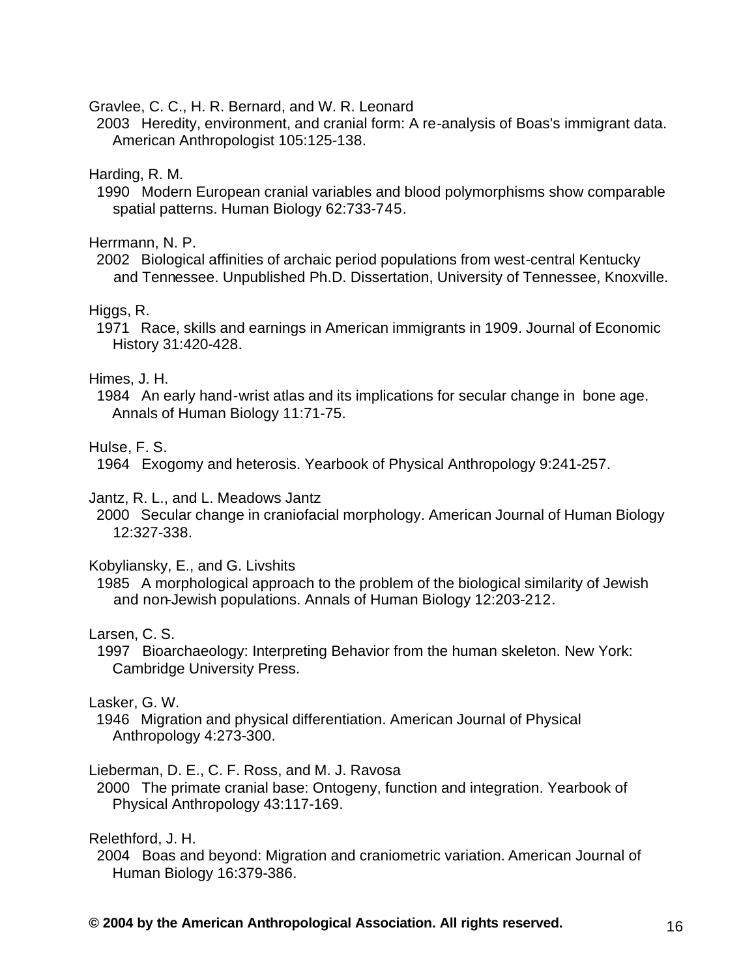Gravlee, C. C., H. R. Bernard, and W. R. Leonard

 2003 Heredity, environment, and cranial form: A re-analysis of Boas's immigrant data. American Anthropologist 105:125-138.

Harding, R. M.

 1990 Modern European cranial variables and blood polymorphisms show comparable spatial patterns. Human Biology 62:733-745.

Herrmann, N. P.

 2002 Biological affinities of archaic period populations from west-central Kentucky and Tennessee. Unpublished Ph.D. Dissertation, University of Tennessee, Knoxville.

Higgs, R.

 1971 Race, skills and earnings in American immigrants in 1909. Journal of Economic History 31:420-428.

Himes, J. H.

 1984 An early hand-wrist atlas and its implications for secular change in bone age. Annals of Human Biology 11:71-75.

Hulse, F. S.

1964 Exogomy and heterosis. Yearbook of Physical Anthropology 9:241-257.

Jantz, R. L., and L. Meadows Jantz

 2000 Secular change in craniofacial morphology. American Journal of Human Biology 12:327-338.

Kobyliansky, E., and G. Livshits

 1985 A morphological approach to the problem of the biological similarity of Jewish and non-Jewish populations. Annals of Human Biology 12:203-212.

Larsen, C. S.

 1997 Bioarchaeology: Interpreting Behavior from the human skeleton. New York: Cambridge University Press.

## Lasker, G. W.

 1946 Migration and physical differentiation. American Journal of Physical Anthropology 4:273-300.

Lieberman, D. E., C. F. Ross, and M. J. Ravosa

 2000 The primate cranial base: Ontogeny, function and integration. Yearbook of Physical Anthropology 43:117-169.

Relethford, J. H.

 2004 Boas and beyond: Migration and craniometric variation. American Journal of Human Biology 16:379-386.